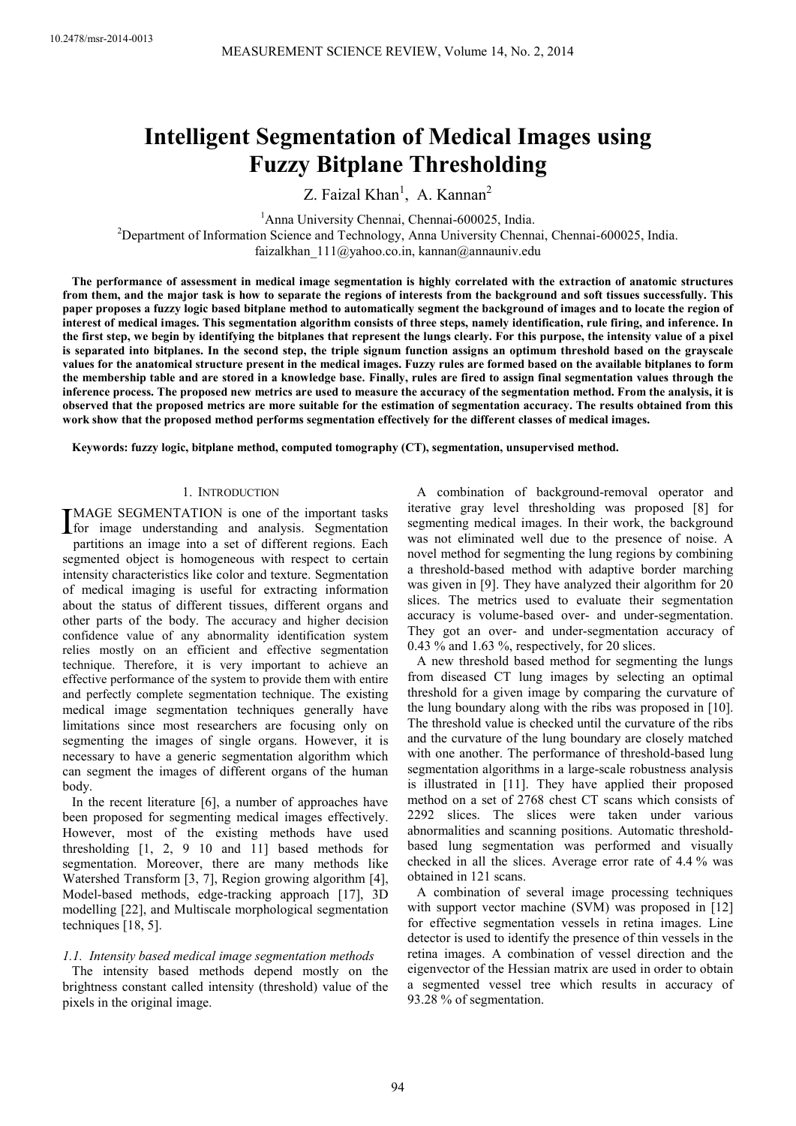# **Intelligent Segmentation of Medical Images using Fuzzy Bitplane Thresholding**

Z. Faizal  $Khan^1$ , A. Kannan<sup>2</sup>

<sup>1</sup>Anna University Chennai, Chennai-600025, India.

<sup>2</sup>Department of Information Science and Technology, Anna University Chennai, Chennai-600025, India. faizalkhan\_111@yahoo.co.in, kannan@annauniv.edu

**The performance of assessment in medical image segmentation is highly correlated with the extraction of anatomic structures from them, and the major task is how to separate the regions of interests from the background and soft tissues successfully. This paper proposes a fuzzy logic based bitplane method to automatically segment the background of images and to locate the region of interest of medical images. This segmentation algorithm consists of three steps, namely identification, rule firing, and inference. In the first step, we begin by identifying the bitplanes that represent the lungs clearly. For this purpose, the intensity value of a pixel is separated into bitplanes. In the second step, the triple signum function assigns an optimum threshold based on the grayscale values for the anatomical structure present in the medical images. Fuzzy rules are formed based on the available bitplanes to form the membership table and are stored in a knowledge base. Finally, rules are fired to assign final segmentation values through the inference process. The proposed new metrics are used to measure the accuracy of the segmentation method. From the analysis, it is observed that the proposed metrics are more suitable for the estimation of segmentation accuracy. The results obtained from this work show that the proposed method performs segmentation effectively for the different classes of medical images.** 

**Keywords: fuzzy logic, bitplane method, computed tomography (CT), segmentation, unsupervised method.**

## 1. INTRODUCTION

MAGE SEGMENTATION is one of the important tasks **IMAGE SEGMENTATION** is one of the important tasks<br>for image understanding and analysis. Segmentation<br>neutritions on image into a get of different regions. Each partitions an image into a set of different regions. Each segmented object is homogeneous with respect to certain intensity characteristics like color and texture. Segmentation of medical imaging is useful for extracting information about the status of different tissues, different organs and other parts of the body. The accuracy and higher decision confidence value of any abnormality identification system relies mostly on an efficient and effective segmentation technique. Therefore, it is very important to achieve an effective performance of the system to provide them with entire and perfectly complete segmentation technique. The existing medical image segmentation techniques generally have limitations since most researchers are focusing only on segmenting the images of single organs. However, it is necessary to have a generic segmentation algorithm which can segment the images of different organs of the human body.

In the recent literature [6], a number of approaches have been proposed for segmenting medical images effectively. However, most of the existing methods have used thresholding [1, 2, 9 10 and 11] based methods for segmentation. Moreover, there are many methods like Watershed Transform [3, 7], Region growing algorithm [4], Model-based methods, edge-tracking approach [17], 3D modelling [22], and Multiscale morphological segmentation techniques [18, 5].

# *1.1. Intensity based medical image segmentation methods*

The intensity based methods depend mostly on the brightness constant called intensity (threshold) value of the pixels in the original image.

A combination of background-removal operator and iterative gray level thresholding was proposed [8] for segmenting medical images. In their work, the background was not eliminated well due to the presence of noise. A novel method for segmenting the lung regions by combining a threshold-based method with adaptive border marching was given in [9]. They have analyzed their algorithm for 20 slices. The metrics used to evaluate their segmentation accuracy is volume-based over- and under-segmentation. They got an over- and under-segmentation accuracy of 0.43 % and 1.63 %, respectively, for 20 slices.

A new threshold based method for segmenting the lungs from diseased CT lung images by selecting an optimal threshold for a given image by comparing the curvature of the lung boundary along with the ribs was proposed in [10]. The threshold value is checked until the curvature of the ribs and the curvature of the lung boundary are closely matched with one another. The performance of threshold-based lung segmentation algorithms in a large-scale robustness analysis is illustrated in [11]. They have applied their proposed method on a set of 2768 chest CT scans which consists of 2292 slices. The slices were taken under various abnormalities and scanning positions. Automatic thresholdbased lung segmentation was performed and visually checked in all the slices. Average error rate of 4.4 % was obtained in 121 scans.

A combination of several image processing techniques with support vector machine (SVM) was proposed in [12] for effective segmentation vessels in retina images. Line detector is used to identify the presence of thin vessels in the retina images. A combination of vessel direction and the eigenvector of the Hessian matrix are used in order to obtain a segmented vessel tree which results in accuracy of 93.28 % of segmentation.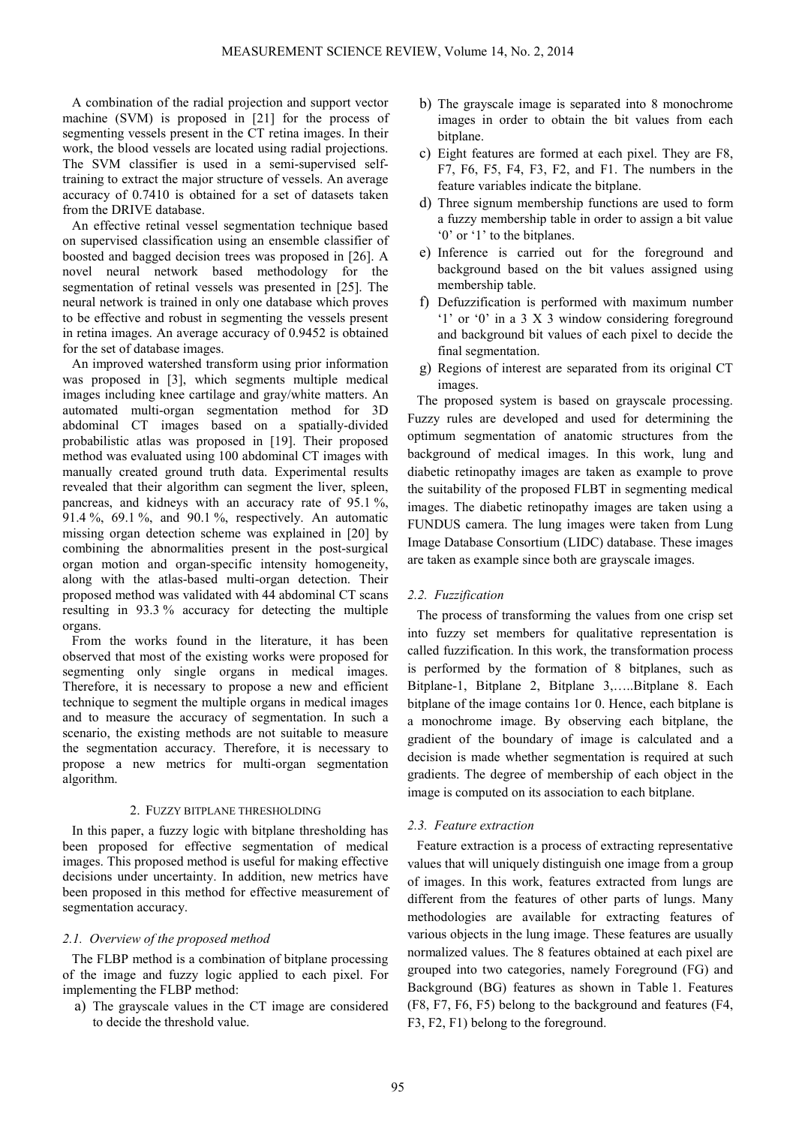A combination of the radial projection and support vector machine (SVM) is proposed in [21] for the process of segmenting vessels present in the CT retina images. In their work, the blood vessels are located using radial projections. The SVM classifier is used in a semi-supervised selftraining to extract the major structure of vessels. An average accuracy of 0.7410 is obtained for a set of datasets taken from the DRIVE database.

An effective retinal vessel segmentation technique based on supervised classification using an ensemble classifier of boosted and bagged decision trees was proposed in [26]. A novel neural network based methodology for the segmentation of retinal vessels was presented in [25]. The neural network is trained in only one database which proves to be effective and robust in segmenting the vessels present in retina images. An average accuracy of 0.9452 is obtained for the set of database images.

An improved watershed transform using prior information was proposed in [3], which segments multiple medical images including knee cartilage and gray/white matters. An automated multi-organ segmentation method for 3D abdominal CT images based on a spatially-divided probabilistic atlas was proposed in [19]. Their proposed method was evaluated using 100 abdominal CT images with manually created ground truth data. Experimental results revealed that their algorithm can segment the liver, spleen, pancreas, and kidneys with an accuracy rate of 95.1 %, 91.4 %, 69.1 %, and 90.1 %, respectively. An automatic missing organ detection scheme was explained in [20] by combining the abnormalities present in the post-surgical organ motion and organ-specific intensity homogeneity, along with the atlas-based multi-organ detection. Their proposed method was validated with 44 abdominal CT scans resulting in 93.3 % accuracy for detecting the multiple organs.

From the works found in the literature, it has been observed that most of the existing works were proposed for segmenting only single organs in medical images. Therefore, it is necessary to propose a new and efficient technique to segment the multiple organs in medical images and to measure the accuracy of segmentation. In such a scenario, the existing methods are not suitable to measure the segmentation accuracy. Therefore, it is necessary to propose a new metrics for multi-organ segmentation algorithm.

#### 2. FUZZY BITPLANE THRESHOLDING

In this paper, a fuzzy logic with bitplane thresholding has been proposed for effective segmentation of medical images. This proposed method is useful for making effective decisions under uncertainty. In addition, new metrics have been proposed in this method for effective measurement of segmentation accuracy.

# *2.1. Overview of the proposed method*

The FLBP method is a combination of bitplane processing of the image and fuzzy logic applied to each pixel. For implementing the FLBP method:

a) The grayscale values in the CT image are considered to decide the threshold value.

- b) The grayscale image is separated into 8 monochrome images in order to obtain the bit values from each bitplane.
- c) Eight features are formed at each pixel. They are F8, F7, F6, F5, F4, F3, F2, and F1. The numbers in the feature variables indicate the bitplane.
- d) Three signum membership functions are used to form a fuzzy membership table in order to assign a bit value '0' or '1' to the bitplanes.
- e) Inference is carried out for the foreground and background based on the bit values assigned using membership table.
- f) Defuzzification is performed with maximum number '1' or '0' in a 3 X 3 window considering foreground and background bit values of each pixel to decide the final segmentation.
- g) Regions of interest are separated from its original CT images.

The proposed system is based on grayscale processing. Fuzzy rules are developed and used for determining the optimum segmentation of anatomic structures from the background of medical images. In this work, lung and diabetic retinopathy images are taken as example to prove the suitability of the proposed FLBT in segmenting medical images. The diabetic retinopathy images are taken using a FUNDUS camera. The lung images were taken from Lung Image Database Consortium (LIDC) database. These images are taken as example since both are grayscale images.

# *2.2. Fuzzification*

The process of transforming the values from one crisp set into fuzzy set members for qualitative representation is called fuzzification. In this work, the transformation process is performed by the formation of 8 bitplanes, such as Bitplane-1, Bitplane 2, Bitplane 3,…..Bitplane 8. Each bitplane of the image contains 1or 0. Hence, each bitplane is a monochrome image. By observing each bitplane, the gradient of the boundary of image is calculated and a decision is made whether segmentation is required at such gradients. The degree of membership of each object in the image is computed on its association to each bitplane.

# *2.3. Feature extraction*

Feature extraction is a process of extracting representative values that will uniquely distinguish one image from a group of images. In this work, features extracted from lungs are different from the features of other parts of lungs. Many methodologies are available for extracting features of various objects in the lung image. These features are usually normalized values. The 8 features obtained at each pixel are grouped into two categories, namely Foreground (FG) and Background (BG) features as shown in Table 1. Features (F8, F7, F6, F5) belong to the background and features (F4, F3, F2, F1) belong to the foreground.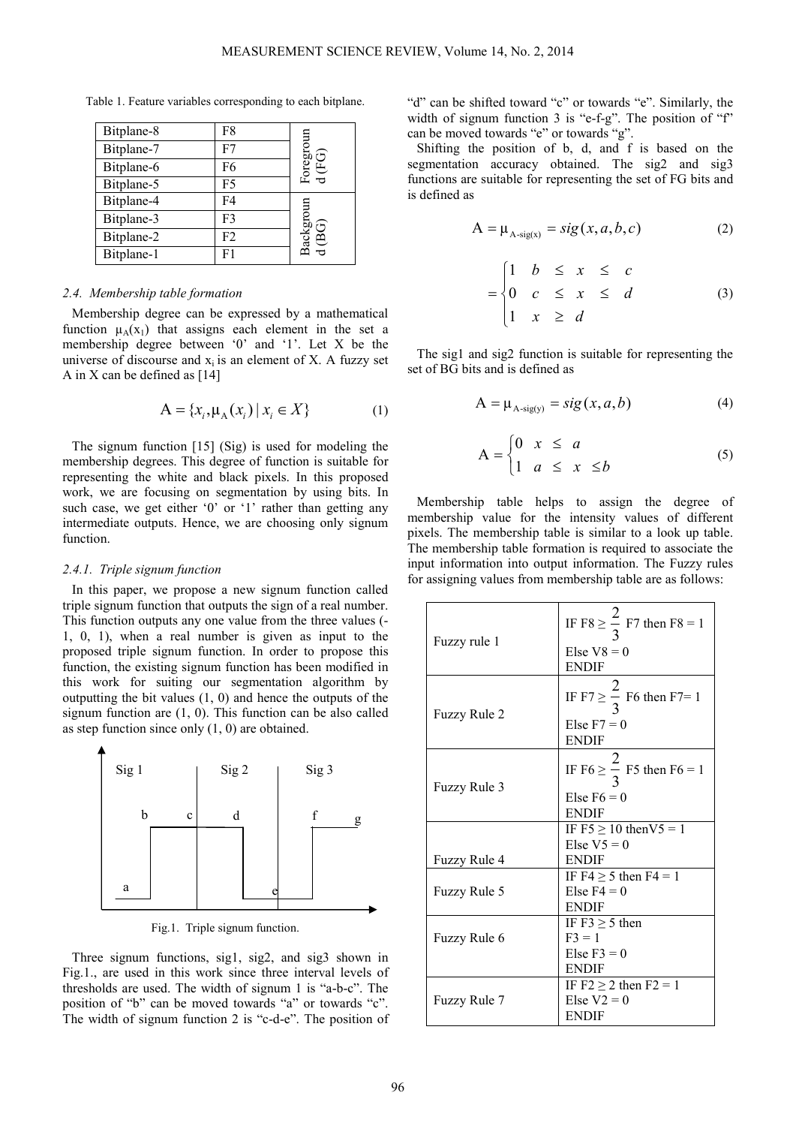Table 1. Feature variables corresponding to each bitplane.

| Bitplane-8 | F8             |                         |
|------------|----------------|-------------------------|
| Bitplane-7 | F7             | oregroun                |
| Bitplane-6 | F <sub>6</sub> | EG)                     |
| Bitplane-5 | F <sub>5</sub> | $\overline{\mathbf{d}}$ |
| Bitplane-4 | F <sub>4</sub> | roun                    |
| Bitplane-3 | F3             | רה                      |
| Bitplane-2 | F <sub>2</sub> | ackgr<br>Ă              |
| Bitplane-1 | F1             |                         |

#### *2.4. Membership table formation*

Membership degree can be expressed by a mathematical function  $\mu_A(x_1)$  that assigns each element in the set a membership degree between '0' and '1'. Let X be the universe of discourse and  $x_i$  is an element of  $X$ . A fuzzy set A in X can be defined as [14]

$$
A = \{x_i, \mu_A(x_i) \, | \, x_i \in X\}
$$
 (1)

The signum function [15] (Sig) is used for modeling the membership degrees. This degree of function is suitable for representing the white and black pixels. In this proposed work, we are focusing on segmentation by using bits. In such case, we get either '0' or '1' rather than getting any intermediate outputs. Hence, we are choosing only signum function.

#### *2.4.1. Triple signum function*

In this paper, we propose a new signum function called triple signum function that outputs the sign of a real number. This function outputs any one value from the three values (- 1, 0, 1), when a real number is given as input to the proposed triple signum function. In order to propose this function, the existing signum function has been modified in this work for suiting our segmentation algorithm by outputting the bit values (1, 0) and hence the outputs of the signum function are (1, 0). This function can be also called as step function since only (1, 0) are obtained.



Fig.1. Triple signum function.

Three signum functions, sig1, sig2, and sig3 shown in Fig.1., are used in this work since three interval levels of thresholds are used. The width of signum 1 is "a-b-c". The position of "b" can be moved towards "a" or towards "c". The width of signum function 2 is "c-d-e". The position of "d" can be shifted toward "c" or towards "e". Similarly, the width of signum function 3 is "e-f-g". The position of "f" can be moved towards "e" or towards "g".

Shifting the position of b, d, and f is based on the segmentation accuracy obtained. The sig2 and sig3 functions are suitable for representing the set of FG bits and is defined as

$$
A = \mu_{A\text{-sig}(x)} = sig(x, a, b, c) \tag{2}
$$

$$
= \begin{cases} 1 & b \leq x \leq c \\ 0 & c \leq x \leq d \\ 1 & x \geq d \end{cases} \tag{3}
$$

The sig1 and sig2 function is suitable for representing the set of BG bits and is defined as

$$
A = \mu_{A\text{-sig}(y)} = sig(x, a, b)
$$
 (4)

$$
A = \begin{cases} 0 & x \leq a \\ 1 & a \leq x \leq b \end{cases}
$$
 (5)

Membership table helps to assign the degree of membership value for the intensity values of different pixels. The membership table is similar to a look up table. The membership table formation is required to associate the input information into output information. The Fuzzy rules for assigning values from membership table are as follows:

| Fuzzy rule 1 | IF F8 $\geq \frac{2}{3}$ F7 then F8 = 1<br>Else $V8 = 0$<br><b>ENDIF</b> |
|--------------|--------------------------------------------------------------------------|
| Fuzzy Rule 2 | IF F7 $\geq \frac{2}{3}$ F6 then F7= 1<br>Else $F7 = 0$<br><b>ENDIF</b>  |
| Fuzzy Rule 3 | IF F6 $\geq \frac{2}{3}$ F5 then F6 = 1<br>Else $F6 = 0$<br><b>ENDIF</b> |
|              | IF $F5 \ge 10$ then $V5 = 1$                                             |
|              | Else $V5 = 0$                                                            |
| Fuzzy Rule 4 | <b>ENDIF</b>                                                             |
| Fuzzy Rule 5 | IF F4 $\geq$ 5 then F4 = 1<br>Else $F4 = 0$<br><b>ENDIF</b>              |
|              | IF $F3 > 5$ then                                                         |
| Fuzzy Rule 6 | $F3 = 1$                                                                 |
|              | Else $F3 = 0$                                                            |
|              | <b>ENDIF</b>                                                             |
| Fuzzy Rule 7 | IF $F2 \geq 2$ then $F2 = 1$<br>Else $V2 = 0$<br>ENDIF                   |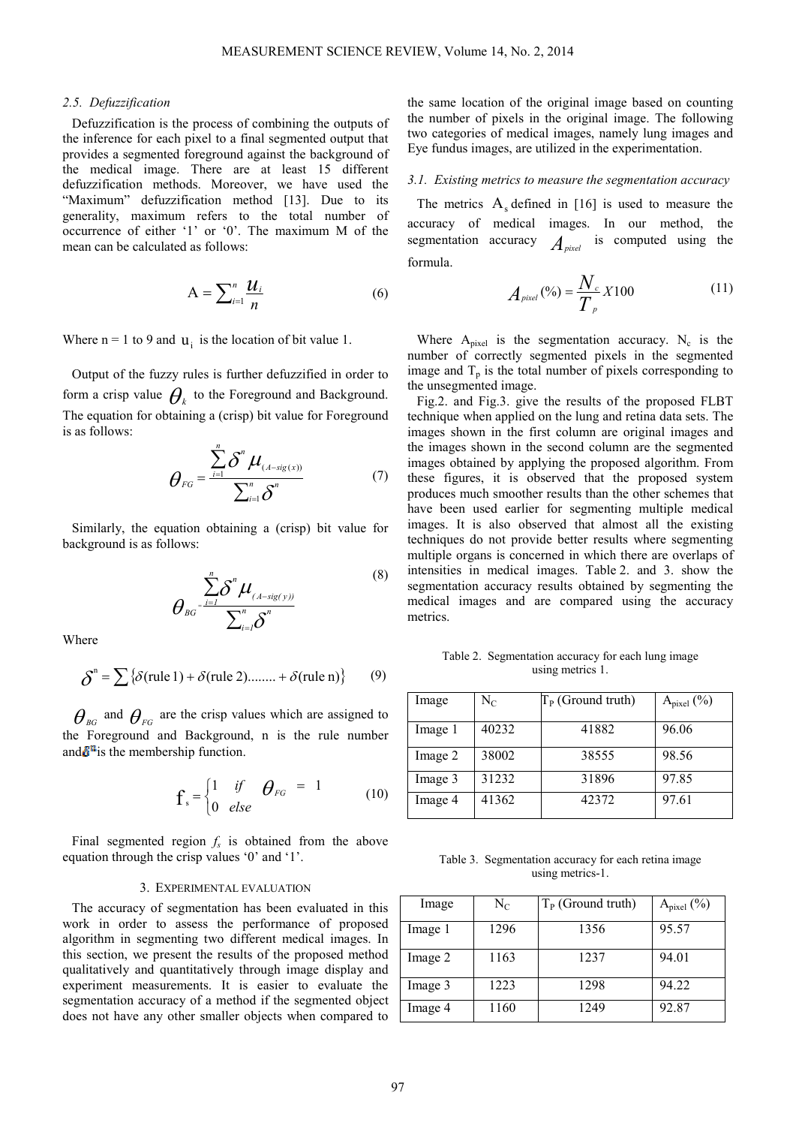#### *2.5. Defuzzification*

Defuzzification is the process of combining the outputs of the inference for each pixel to a final segmented output that provides a segmented foreground against the background of the medical image. There are at least 15 different defuzzification methods. Moreover, we have used the "Maximum" defuzzification method [13]. Due to its generality, maximum refers to the total number of occurrence of either '1' or '0'. The maximum M of the mean can be calculated as follows:

$$
A = \sum_{i=1}^{n} \frac{\mathcal{U}_i}{n}
$$
 (6)

Where  $n = 1$  to 9 and  $u_i$  is the location of bit value 1.

Output of the fuzzy rules is further defuzzified in order to form a crisp value  $\theta_k$  to the Foreground and Background. The equation for obtaining a (crisp) bit value for Foreground is as follows:

$$
\theta_{FG} = \frac{\sum_{i=1}^{n} \delta^{n} \mu_{(A-sig(x))}}{\sum_{i=1}^{n} \delta^{n}}
$$
(7)

Similarly, the equation obtaining a (crisp) bit value for background is as follows:

$$
\theta_{\scriptscriptstyle{BG}^{\scriptscriptstyle{-}}}\frac{\sum\limits_{i=1}^{n}\delta^{n}\mu_{\scriptscriptstyle{(A-sig(y))}}}{\sum_{i=1}^{n}\delta^{n}}
$$
\n<sup>(8)</sup>

Where

$$
\delta^{n} = \sum {\delta(\text{rule 1}) + \delta(\text{rule 2}) \dots \dots + \delta(\text{rule n})}
$$
 (9)

 $\theta_{\scriptscriptstyle{BG}}$  and  $\theta_{\scriptscriptstyle{FG}}$  are the crisp values which are assigned to the Foreground and Background, n is the rule number and  $\delta^{n}$  is the membership function.

$$
\mathbf{f}_s = \begin{cases} 1 & \text{if} \\ 0 & \text{else} \end{cases} \quad \theta_{FG} = 1 \tag{10}
$$

Final segmented region  $f_s$  is obtained from the above equation through the crisp values '0' and '1'.

#### 3. EXPERIMENTAL EVALUATION

The accuracy of segmentation has been evaluated in this work in order to assess the performance of proposed algorithm in segmenting two different medical images. In this section, we present the results of the proposed method qualitatively and quantitatively through image display and experiment measurements. It is easier to evaluate the segmentation accuracy of a method if the segmented object does not have any other smaller objects when compared to the same location of the original image based on counting the number of pixels in the original image. The following two categories of medical images, namely lung images and Eye fundus images, are utilized in the experimentation.

#### *3.1. Existing metrics to measure the segmentation accuracy*

The metrics  $A_s$  defined in [16] is used to measure the accuracy of medical images. In our method, the segmentation accuracy  $A_{pixel}$  is computed using the formula.

$$
A_{pixel} (\%) = \frac{N_c}{T_p} X 100 \tag{11}
$$

Where  $A_{pixel}$  is the segmentation accuracy. N<sub>c</sub> is the number of correctly segmented pixels in the segmented image and  $T_p$  is the total number of pixels corresponding to the unsegmented image.

Fig.2. and Fig.3. give the results of the proposed FLBT technique when applied on the lung and retina data sets. The images shown in the first column are original images and the images shown in the second column are the segmented images obtained by applying the proposed algorithm. From these figures, it is observed that the proposed system produces much smoother results than the other schemes that have been used earlier for segmenting multiple medical images. It is also observed that almost all the existing techniques do not provide better results where segmenting multiple organs is concerned in which there are overlaps of intensities in medical images. Table 2. and 3. show the segmentation accuracy results obtained by segmenting the medical images and are compared using the accuracy metrics.

Table 2. Segmentation accuracy for each lung image using metrics 1.

| Image   | $\rm N_C$ | $T_{P}$ (Ground truth) | $A_{pixel}$ (%) |
|---------|-----------|------------------------|-----------------|
| Image 1 | 40232     | 41882                  | 96.06           |
| Image 2 | 38002     | 38555                  | 98.56           |
| Image 3 | 31232     | 31896                  | 97.85           |
| Image 4 | 41362     | 42372                  | 97.61           |

Table 3. Segmentation accuracy for each retina image using metrics-1.

| Image   | $\rm N_C$ | $T_{P}$ (Ground truth) | $A_{pixel}$ (%) |
|---------|-----------|------------------------|-----------------|
| Image 1 | 1296      | 1356                   | 95.57           |
| Image 2 | 1163      | 1237                   | 94.01           |
| Image 3 | 1223      | 1298                   | 94.22           |
| Image 4 | 1160      | 1249                   | 92.87           |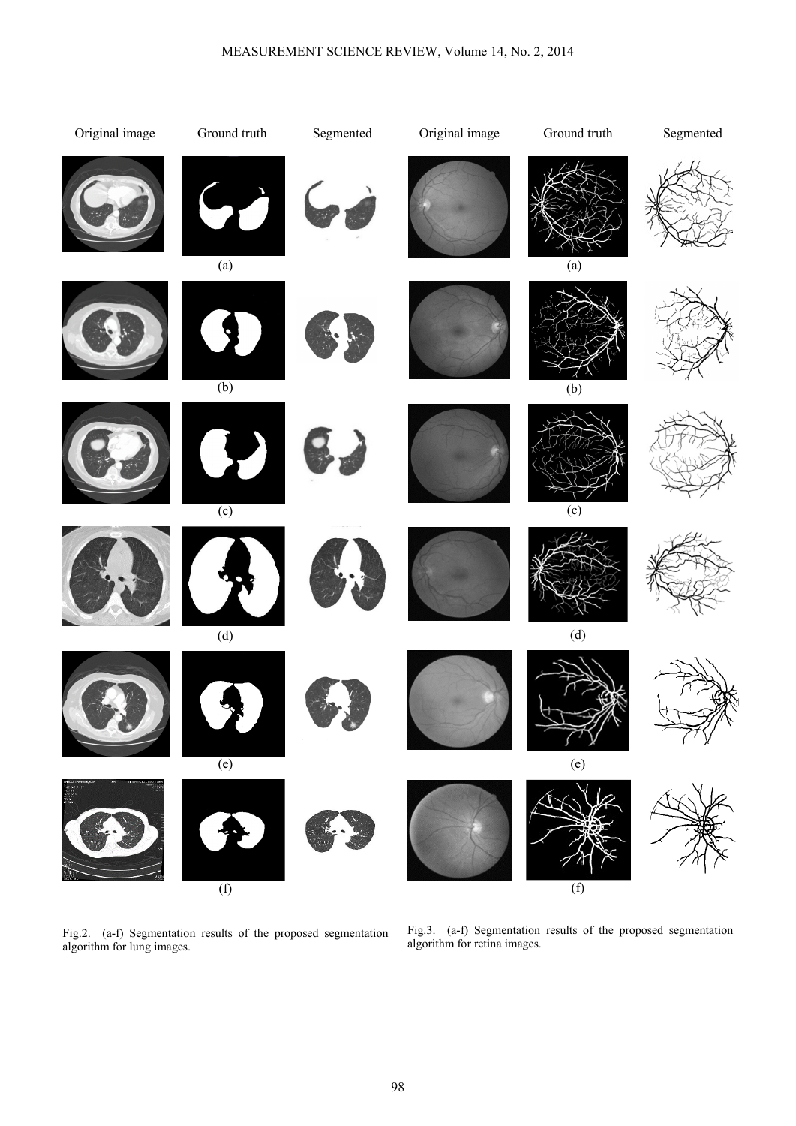

Fig.2. (a-f) Segmentation results of the proposed segmentation algorithm for lung images.

Fig.3. (a-f) Segmentation results of the proposed segmentation algorithm for retina images.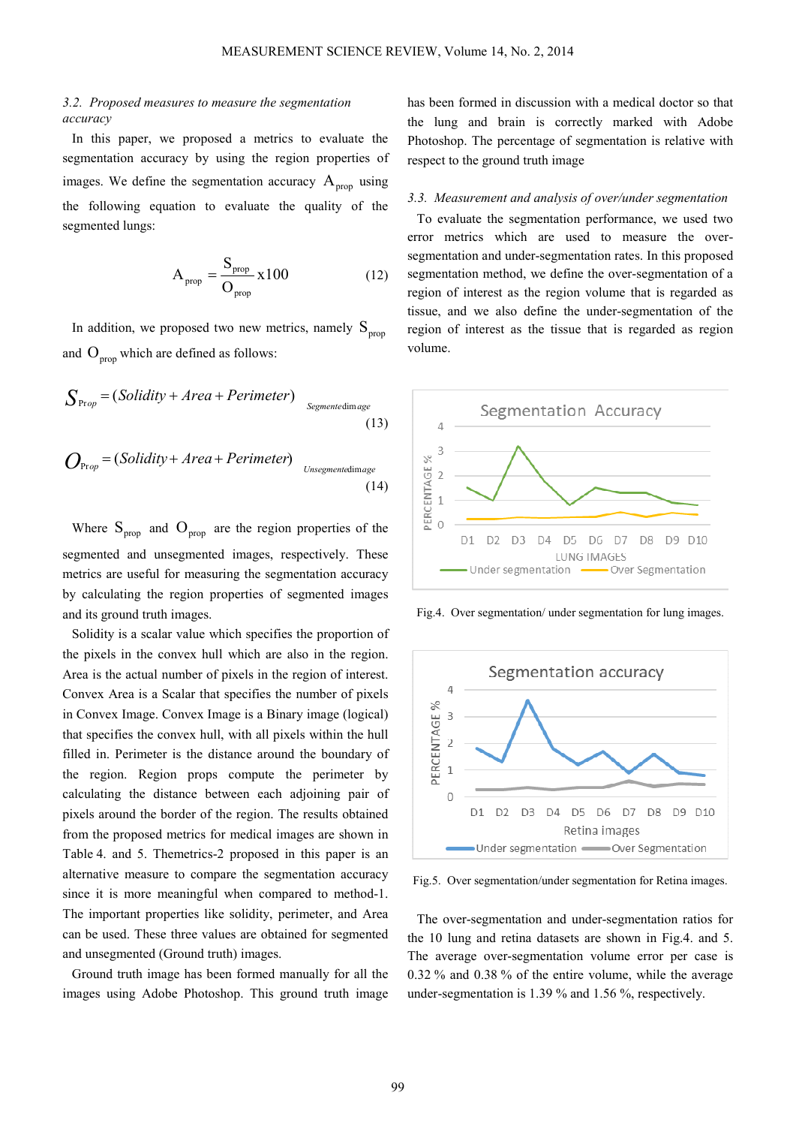# *3.2. Proposed measures to measure the segmentation accuracy*

In this paper, we proposed a metrics to evaluate the segmentation accuracy by using the region properties of images. We define the segmentation accuracy  $A_{\text{prop}}$  using the following equation to evaluate the quality of the segmented lungs:

$$
A_{prop} = \frac{S_{prop}}{O_{prop}} \times 100
$$
 (12)

In addition, we proposed two new metrics, namely  $S_{\text{prop}}$ and  $O_{\text{prop}}$  which are defined as follows:

$$
S_{\text{Prop}} = (Solidity + Area + Perimeter)_{\text{Segmentedimage}}
$$
\n(13)

$$
O_{\text{Prop}} = (Solidity + Area + Perimeter)_{\text{Unsegmentedimage}}
$$
\n(14)

Where  $S_{\text{prop}}$  and  $O_{\text{prop}}$  are the region properties of the segmented and unsegmented images, respectively. These metrics are useful for measuring the segmentation accuracy by calculating the region properties of segmented images and its ground truth images.

Solidity is a scalar value which specifies the proportion of the pixels in the convex hull which are also in the region. Area is the actual number of pixels in the region of interest. Convex Area is a Scalar that specifies the number of pixels in Convex Image. Convex Image is a Binary image (logical) that specifies the convex hull, with all pixels within the hull filled in. Perimeter is the distance around the boundary of the region. Region props compute the perimeter by calculating the distance between each adjoining pair of pixels around the border of the region. The results obtained from the proposed metrics for medical images are shown in Table 4. and 5. Themetrics-2 proposed in this paper is an alternative measure to compare the segmentation accuracy since it is more meaningful when compared to method-1. The important properties like solidity, perimeter, and Area can be used. These three values are obtained for segmented and unsegmented (Ground truth) images.

Ground truth image has been formed manually for all the images using Adobe Photoshop. This ground truth image has been formed in discussion with a medical doctor so that the lung and brain is correctly marked with Adobe Photoshop. The percentage of segmentation is relative with respect to the ground truth image

## *3.3. Measurement and analysis of over/under segmentation*

To evaluate the segmentation performance, we used two error metrics which are used to measure the oversegmentation and under-segmentation rates. In this proposed segmentation method, we define the over-segmentation of a region of interest as the region volume that is regarded as tissue, and we also define the under-segmentation of the region of interest as the tissue that is regarded as region volume.



Fig.4. Over segmentation/ under segmentation for lung images.



Fig.5. Over segmentation/under segmentation for Retina images.

The over-segmentation and under-segmentation ratios for the 10 lung and retina datasets are shown in Fig.4. and 5. The average over-segmentation volume error per case is 0.32 % and 0.38 % of the entire volume, while the average under-segmentation is 1.39 % and 1.56 %, respectively.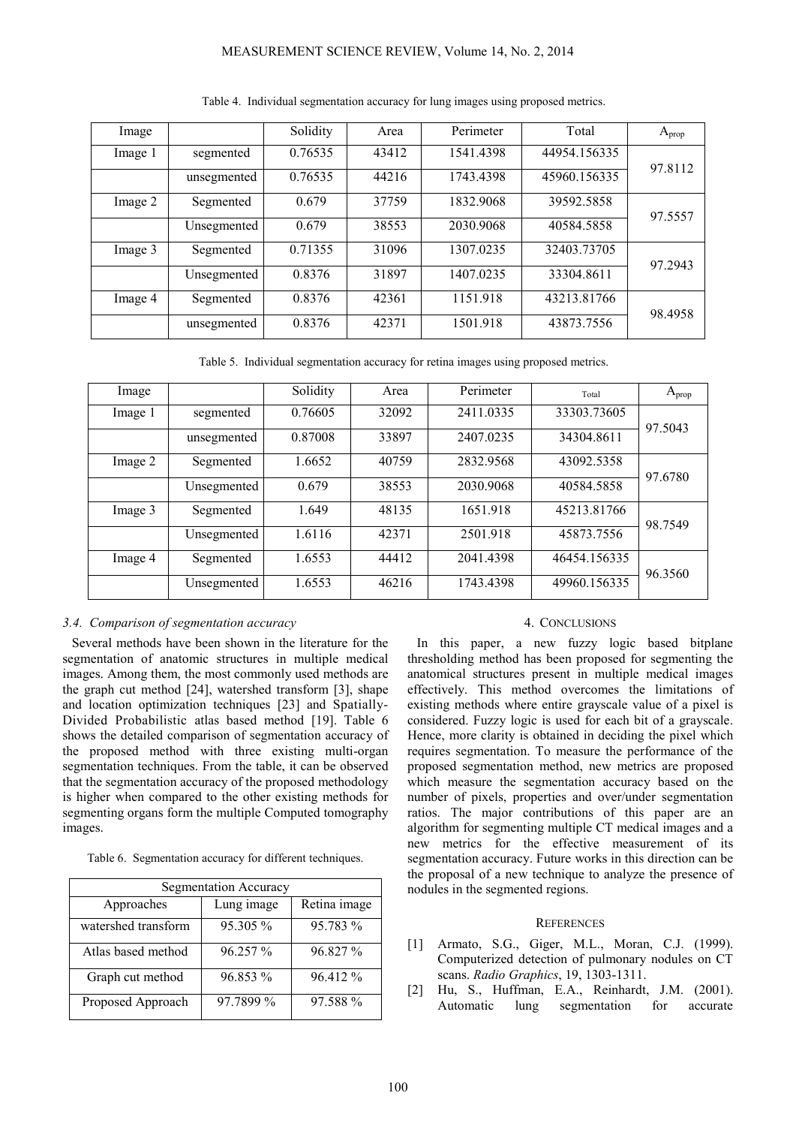# MEASUREMENT SCIENCE REVIEW, Volume 14, No. 2, 2014

| Image   |             | Solidity | Area  | Perimeter | Total        | $A_{prop}$ |
|---------|-------------|----------|-------|-----------|--------------|------------|
| Image 1 | segmented   | 0.76535  | 43412 | 1541.4398 | 44954.156335 | 97.8112    |
|         | unsegmented | 0.76535  | 44216 | 1743.4398 | 45960.156335 |            |
| Image 2 | Segmented   | 0.679    | 37759 | 1832.9068 | 39592.5858   | 97.5557    |
|         | Unsegmented | 0.679    | 38553 | 2030.9068 | 40584.5858   |            |
| Image 3 | Segmented   | 0.71355  | 31096 | 1307.0235 | 32403.73705  | 97.2943    |
|         | Unsegmented | 0.8376   | 31897 | 1407.0235 | 33304.8611   |            |
| Image 4 | Segmented   | 0.8376   | 42361 | 1151.918  | 43213.81766  | 98.4958    |
|         | unsegmented | 0.8376   | 42371 | 1501.918  | 43873.7556   |            |

Table 4. Individual segmentation accuracy for lung images using proposed metrics.

Table 5. Individual segmentation accuracy for retina images using proposed metrics.

| Image   |             | Solidity | Area  | Perimeter | Total        | $A_{prop}$ |
|---------|-------------|----------|-------|-----------|--------------|------------|
| Image 1 | segmented   | 0.76605  | 32092 | 2411.0335 | 33303.73605  | 97.5043    |
|         | unsegmented | 0.87008  | 33897 | 2407.0235 | 34304.8611   |            |
| Image 2 | Segmented   | 1.6652   | 40759 | 2832.9568 | 43092.5358   | 97.6780    |
|         | Unsegmented | 0.679    | 38553 | 2030.9068 | 40584.5858   |            |
| Image 3 | Segmented   | 1.649    | 48135 | 1651.918  | 45213.81766  | 98.7549    |
|         | Unsegmented | 1.6116   | 42371 | 2501.918  | 45873.7556   |            |
| Image 4 | Segmented   | 1.6553   | 44412 | 2041.4398 | 46454.156335 | 96.3560    |
|         | Unsegmented | 1.6553   | 46216 | 1743.4398 | 49960.156335 |            |

## *3.4. Comparison of segmentation accuracy*

Several methods have been shown in the literature for the segmentation of anatomic structures in multiple medical images. Among them, the most commonly used methods are the graph cut method [24], watershed transform [3], shape and location optimization techniques [23] and Spatially-Divided Probabilistic atlas based method [19]. Table 6 shows the detailed comparison of segmentation accuracy of the proposed method with three existing multi-organ segmentation techniques. From the table, it can be observed that the segmentation accuracy of the proposed methodology is higher when compared to the other existing methods for segmenting organs form the multiple Computed tomography images.

Table 6. Segmentation accuracy for different techniques.

| Segmentation Accuracy |            |              |  |  |
|-----------------------|------------|--------------|--|--|
| Approaches            | Lung image | Retina image |  |  |
| watershed transform   | 95.305 %   | 95.783 %     |  |  |
| Atlas based method    | 96.257 %   | 96.827 %     |  |  |
| Graph cut method      | 96.853 %   | 96.412 %     |  |  |
| Proposed Approach     | 97.7899 %  | 97.588 %     |  |  |

#### 4. CONCLUSIONS

In this paper, a new fuzzy logic based bitplane thresholding method has been proposed for segmenting the anatomical structures present in multiple medical images effectively. This method overcomes the limitations of existing methods where entire grayscale value of a pixel is considered. Fuzzy logic is used for each bit of a grayscale. Hence, more clarity is obtained in deciding the pixel which requires segmentation. To measure the performance of the proposed segmentation method, new metrics are proposed which measure the segmentation accuracy based on the number of pixels, properties and over/under segmentation ratios. The major contributions of this paper are an algorithm for segmenting multiple CT medical images and a new metrics for the effective measurement of its segmentation accuracy. Future works in this direction can be the proposal of a new technique to analyze the presence of nodules in the segmented regions.

#### **REFERENCES**

- [1] Armato, S.G., Giger, M.L., Moran, C.J. (1999). Computerized detection of pulmonary nodules on CT scans. *Radio Graphics*, 19, 1303-1311.
- [2] Hu, S., Huffman, E.A., Reinhardt, J.M. (2001). Automatic lung segmentation for accurate